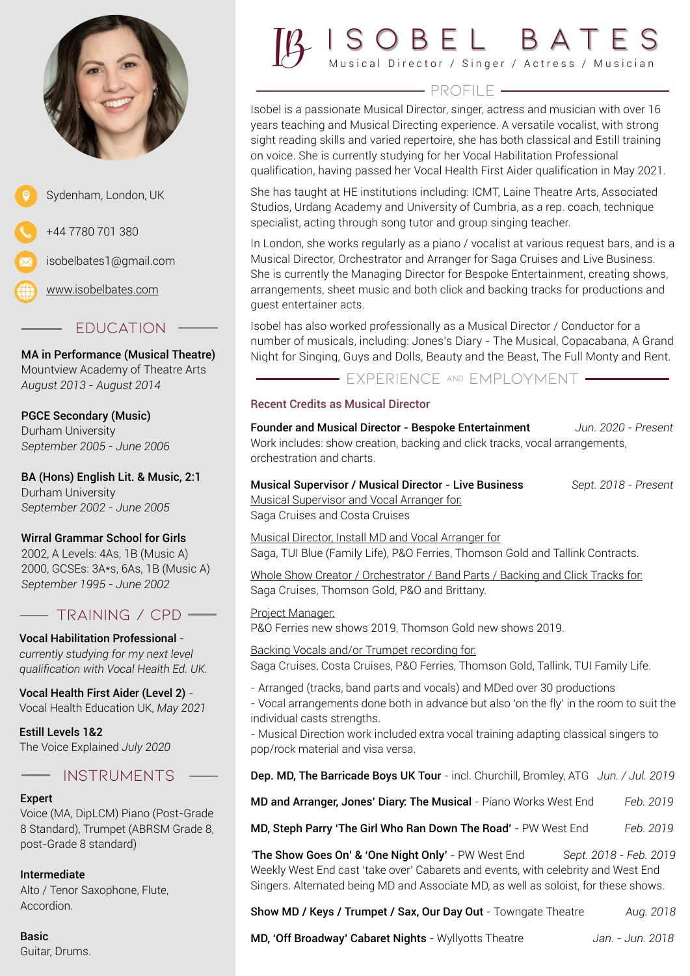



[www.isobelbates.com](http://www.isobelbates.com)

# - FDUCATION

MA in Performance (Musical Theatre) Mountview Academy of Theatre Arts *August 2013 - August 2014*

# PGCE Secondary (Music)

Durham University *September 2005 - June 2006*

BA (Hons) English Lit. & Music, 2:1 Durham University *September 2002 - June 2005*

### Wirral Grammar School for Girls

2002, A Levels: 4As, 1B (Music A) 2000, GCSEs: 3A\*s, 6As, 1B (Music A) *September 1995 - June 2002*

# TRAINING / CPD

Vocal Habilitation Professional  *currently studying for my next level qualification with Vocal Health Ed. UK.* 

Vocal Health First Aider (Level 2) *-*  Vocal Health Education UK, *May 2021*

Estill Levels 1&2 The Voice Explained *July 2020*

# instruments

### Expert

Voice (MA, DipLCM) Piano (Post-Grade 8 Standard), Trumpet (ABRSM Grade 8, post-Grade 8 standard)

### Intermediate

Alto / Tenor Saxophone, Flute, Accordion.

Basic Guitar, Drums.



# $\qquad \qquad \overbrace{\qquad \qquad }$

Isobel is a passionate Musical Director, singer, actress and musician with over 16 years teaching and Musical Directing experience. A versatile vocalist, with strong sight reading skills and varied repertoire, she has both classical and Estill training on voice. She is currently studying for her Vocal Habilitation Professional qualification, having passed her Vocal Health First Aider qualification in May 2021.

She has taught at HE institutions including: ICMT, Laine Theatre Arts, Associated Studios, Urdang Academy and University of Cumbria, as a rep. coach, technique specialist, acting through song tutor and group singing teacher.

In London, she works regularly as a piano / vocalist at various request bars, and is a Musical Director, Orchestrator and Arranger for Saga Cruises and Live Business. She is currently the Managing Director for Bespoke Entertainment, creating shows, arrangements, sheet music and both click and backing tracks for productions and guest entertainer acts.

Isobel has also worked professionally as a Musical Director / Conductor for a number of musicals, including: Jones's Diary - The Musical, Copacabana, A Grand Night for Singing, Guys and Dolls, Beauty and the Beast, The Full Monty and Rent.

- EXPERIENCE AND EMPLOYMENT -

### Recent Credits as Musical Director

Founder and Musical Director - Bespoke Entertainment *Jun. 2020 - Present* Work includes: show creation, backing and click tracks, vocal arrangements, orchestration and charts.

Musical Supervisor / Musical Director - Live Business *Sept. 2018 - Present* Musical Supervisor and Vocal Arranger for:

Saga Cruises and Costa Cruises

Musical Director, Install MD and Vocal Arranger for Saga, TUI Blue (Family Life), P&O Ferries, Thomson Gold and Tallink Contracts.

Whole Show Creator / Orchestrator / Band Parts / Backing and Click Tracks for: Saga Cruises, Thomson Gold, P&O and Brittany.

Project Manager: P&O Ferries new shows 2019, Thomson Gold new shows 2019.

Backing Vocals and/or Trumpet recording for:

Saga Cruises, Costa Cruises, P&O Ferries, Thomson Gold, Tallink, TUI Family Life.

- Arranged (tracks, band parts and vocals) and MDed over 30 productions

- Vocal arrangements done both in advance but also 'on the fly' in the room to suit the individual casts strengths.

- Musical Direction work included extra vocal training adapting classical singers to pop/rock material and visa versa.

Dep. MD, The Barricade Boys UK Tour - incl. Churchill, Bromley, ATG *Jun. / Jul. 2019*

MD and Arranger, Jones' Diary: The Musical - Piano Works West End *Feb. 2019*

MD, Steph Parry 'The Girl Who Ran Down The Road' - PW West End *Feb. 2019*

*'*The Show Goes On' & 'One Night Only' - PW West End *Sept. 2018 - Feb. 2019* Weekly West End cast 'take over' Cabarets and events, with celebrity and West End Singers. Alternated being MD and Associate MD, as well as soloist, for these shows.

Show MD / Keys / Trumpet / Sax, Our Day Out - Towngate Theatre *Aug. 2018*

MD, 'Off Broadway' Cabaret Nights - Wyllyotts Theatre *Jan. - Jun. 2018*